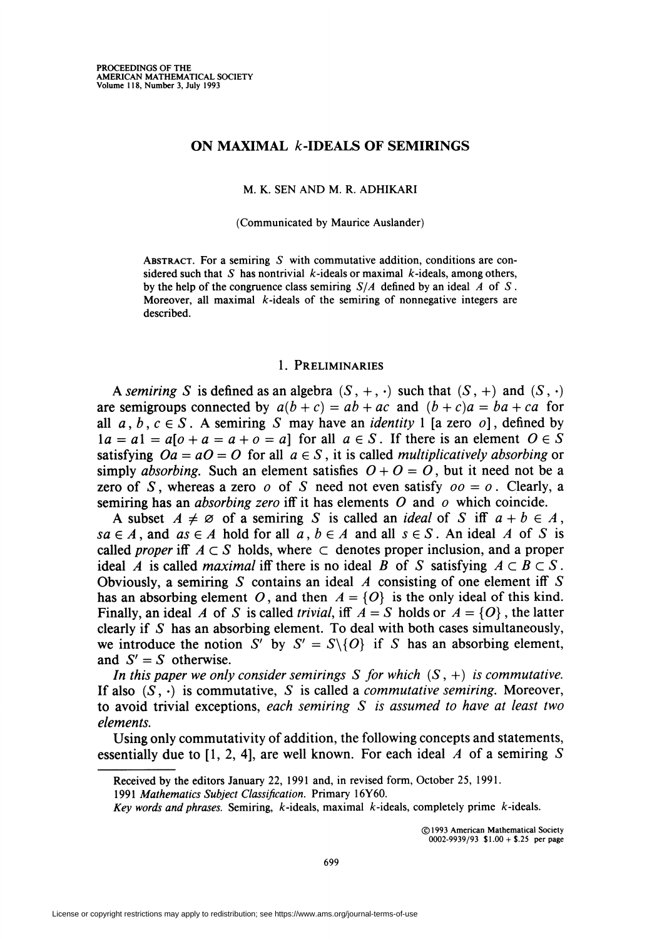### ON MAXIMAL *k*-IDEALS OF SEMIRINGS

M. K. SEN AND M. R. ADHIKARI

(Communicated by Maurice Auslander)

ABSTRACT. For a semiring  $S$  with commutative addition, conditions are considered such that S has nontrivial k-ideals or maximal k-ideals, among others, by the help of the congruence class semiring  $S/A$  defined by an ideal A of S. Moreover, all maximal  $k$ -ideals of the semiring of nonnegative integers are described.

### 1. Preliminaries

A semiring S is defined as an algebra  $(S, +, \cdot)$  such that  $(S, +)$  and  $(S, \cdot)$ are semigroups connected by  $a(b + c) = ab + ac$  and  $(b + c)a = ba + ca$  for all  $a, b, c \in S$ . A semiring S may have an *identity* 1 [a zero o], defined by  $1a = a1 = a[0 + a = a + 0 = a]$  for all  $a \in S$ . If there is an element  $O \in S$ satisfying  $Oa = aO = O$  for all  $a \in S$ , it is called *multiplicatively absorbing* or simply absorbing. Such an element satisfies  $O + O = O$ , but it need not be a zero of S, whereas a zero o of S need not even satisfy  $oo = o$ . Clearly, a semiring has an *absorbing zero* iff it has elements  $O$  and  $o$  which coincide.

A subset  $A \neq \emptyset$  of a semiring S is called an *ideal* of S iff  $a + b \in A$ ,  $sa \in A$ , and  $as \in A$  hold for all  $a, b \in A$  and all  $s \in S$ . An ideal A of S is called *proper* iff  $A \subset S$  holds, where  $\subset$  denotes proper inclusion, and a proper ideal A is called *maximal* iff there is no ideal B of S satisfying  $A \subset B \subset S$ . Obviously, a semiring S contains an ideal A consisting of one element iff S has an absorbing element O, and then  $A = \{O\}$  is the only ideal of this kind. Finally, an ideal A of S is called *trivial*, iff  $A = S$  holds or  $A = \{O\}$ , the latter clearly if  $S$  has an absorbing element. To deal with both cases simultaneously, we introduce the notion S' by  $S' = S \setminus \{O\}$  if S has an absorbing element, and  $S' = S$  otherwise.

In this paper we only consider semirings S for which  $(S, +)$  is commutative. If also  $(S, \cdot)$  is commutative, S is called a *commutative semiring*. Moreover, to avoid trivial exceptions, each semiring  $S$  is assumed to have at least two elements.

Using only commutativity of addition, the following concepts and statements, essentially due to [1, 2, 4], are well known. For each ideal  $A$  of a semiring  $S$ 

©1993 American Mathematical Society 0002-9939/93  $$1.00 + $25$  per page

Received by the editors January 22, 1991 and, in revised form, October 25, 1991.

<sup>1991</sup> Mathematics Subject Classification. Primary 16Y60.

Key words and phrases. Semiring,  $k$ -ideals, maximal  $k$ -ideals, completely prime  $k$ -ideals.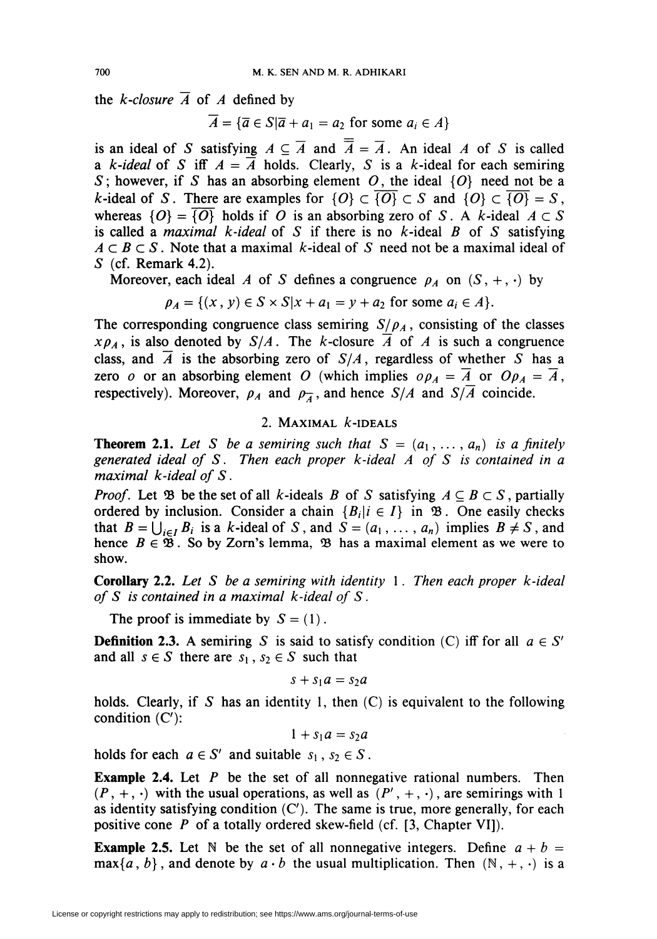the *k*-closure  $\overline{A}$  of A defined by

 $\overline{A} = {\overline{a} \in S | \overline{a} + a_1 = a_2 \text{ for some } a_i \in A}$ 

is an ideal of S satisfying  $A \subseteq \overline{A}$  and  $\overline{A} = \overline{A}$ . An ideal A of S is called a k-ideal of S iff  $A = \overline{A}$  holds. Clearly, S is a k-ideal for each semiring S; however, if S has an absorbing element O, the ideal  $\{O\}$  need not be a *k*-ideal of S. There are examples for  $\{O\} \subset \{O\} \subset S$  and  $\{O\} \subset \{O\} = S$ , whereas  $\{O\} = \{O\}$  holds if O is an absorbing zero of S. A k-ideal  $A \subset S$ is called a maximal k-ideal of S if there is no  $k$ -ideal B of S satisfying  $A \subset B \subset S$ . Note that a maximal k-ideal of S need not be a maximal ideal of S (cf. Remark 4.2).

Moreover, each ideal A of S defines a congruence  $\rho_A$  on  $(S, +, \cdot)$  by

$$
\rho_A = \{(x, y) \in S \times S | x + a_1 = y + a_2 \text{ for some } a_i \in A\}.
$$

The corresponding congruence class semiring  $S/\rho_A$ , consisting of the classes  $x\rho_A$ , is also denoted by  $S/A$ . The k-closure  $\overline{A}$  of A is such a congruence class, and  $\overline{A}$  is the absorbing zero of  $S/A$ , regardless of whether S has a zero o or an absorbing element O (which implies  $\rho_{A} = \overline{A}$  or  $O_{A} = \overline{A}$ , respectively). Moreover,  $\rho_A$  and  $\rho_{\overline{A}}$ , and hence  $S/A$  and  $S/\overline{A}$  coincide.

# 2. MAXIMAL  $k$ -IDEALS

**Theorem 2.1.** Let S be a semiring such that  $S = (a_1, \ldots, a_n)$  is a finitely generated ideal of S. Then each proper k-ideal A of S is contained in a maximal k-ideal of S.

*Proof.* Let 23 be the set of all k-ideals B of S satisfying  $A \subseteq B \subset S$ , partially ordered by inclusion. Consider a chain  ${B_i | i \in I}$  in  $\mathcal{B}$ . One easily checks that  $B = \bigcup_{i \in I} B_i$  is a k-ideal of S, and  $S = (a_1, \ldots, a_n)$  implies  $B \neq S$ , and hence  $B \in \mathfrak{B}$ . So by Zorn's lemma,  $\mathfrak{B}$  has a maximal element as we were to show.

**Corollary 2.2.** Let S be a semiring with identity 1. Then each proper  $k$ -ideal of S is contained in a maximal  $k$ -ideal of S.

The proof is immediate by  $S = (1)$ .

**Definition 2.3.** A semiring S is said to satisfy condition (C) iff for all  $a \in S'$ and all  $s \in S$  there are  $s_1, s_2 \in S$  such that

$$
s + s_1 a = s_2 a
$$

holds. Clearly, if S has an identity 1, then  $(C)$  is equivalent to the following condition  $(C')$ :

 $1 + s_1 a = s_2 a$ 

holds for each  $a \in S'$  and suitable  $s_1, s_2 \in S$ .

**Example 2.4.** Let  $P$  be the set of all nonnegative rational numbers. Then  $(P, +, \cdot)$  with the usual operations, as well as  $(P', +, \cdot)$ , are semirings with 1 as identity satisfying condition  $(C')$ . The same is true, more generally, for each positive cone  $P$  of a totally ordered skew-field (cf. [3, Chapter VI]).

**Example 2.5.** Let N be the set of all nonnegative integers. Define  $a + b =$  $\max\{a, b\}$ , and denote by  $a \cdot b$  the usual multiplication. Then  $(\mathbb{N}, +, \cdot)$  is a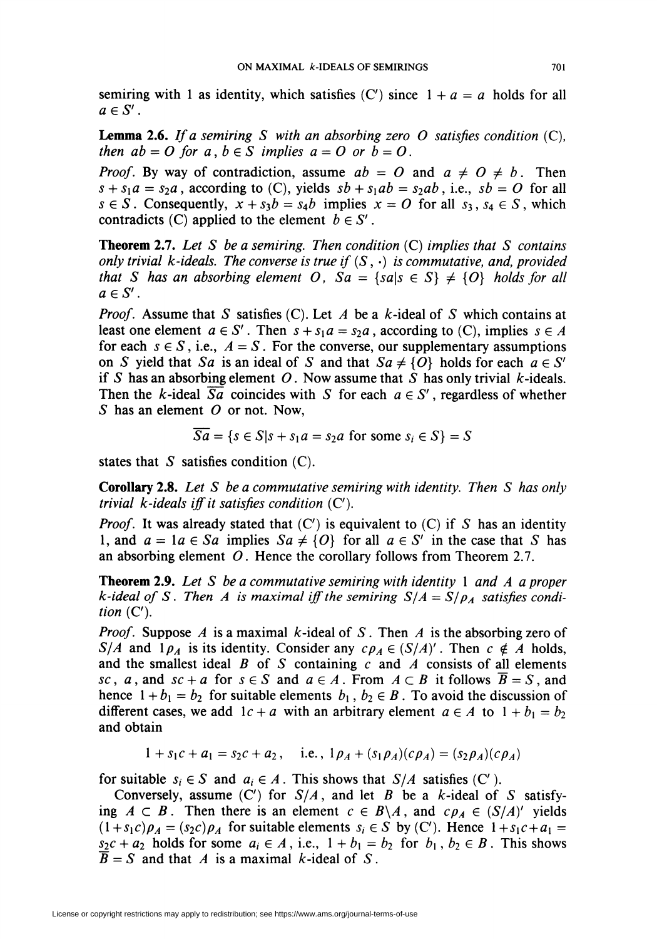semiring with 1 as identity, which satisfies  $(C')$  since  $1 + a = a$  holds for all  $a \in S'$ .

**Lemma 2.6.** If a semiring S with an absorbing zero O satisfies condition  $(C)$ , then  $ab = O$  for  $a, b \in S$  implies  $a = O$  or  $b = O$ .

*Proof.* By way of contradiction, assume  $ab = 0$  and  $a \neq 0 \neq b$ . Then  $s + s_1a = s_2a$ , according to (C), yields  $sb + s_1ab = s_2ab$ , i.e.,  $sb = O$  for all  $s \in S$ . Consequently,  $x + s_3b = s_4b$  implies  $x = O$  for all  $s_3, s_4 \in S$ , which contradicts (C) applied to the element  $b \in S'$ .

**Theorem 2.7.** Let S be a semiring. Then condition  $(C)$  implies that S contains only trivial k-ideals. The converse is true if  $(S, \cdot)$  is commutative, and, provided that S has an absorbing element O,  $Sa = \{sals \in S\} \neq \{O\}$  holds for all  $a \in S'$ .

*Proof.* Assume that S satisfies (C). Let A be a k-ideal of S which contains at least one element  $a \in S'$ . Then  $s + s_1 a = s_2 a$ , according to (C), implies  $s \in A$ for each  $s \in S$ , i.e.,  $A = S$ . For the converse, our supplementary assumptions on S yield that Sa is an ideal of S and that  $Sa \neq \{O\}$  holds for each  $a \in S'$ if S has an absorbing element O. Now assume that S has only trivial k-ideals. Then the *k*-ideal  $\overline{Sa}$  coincides with *S* for each  $a \in S'$ , regardless of whether S has an element  $O$  or not. Now,

$$
Sa = \{s \in S | s + s_1 a = s_2 a \text{ for some } s_i \in S\} = S
$$

states that  $S$  satisfies condition  $(C)$ .

**Corollary 2.8.** Let S be a commutative semiring with identity. Then S has only trivial  $k$ -ideals iff it satisfies condition  $(C')$ .

*Proof.* It was already stated that  $(C')$  is equivalent to  $(C)$  if S has an identity 1, and  $a = 1a \in Sa$  implies  $Sa \neq \{O\}$  for all  $a \in S'$  in the case that S has an absorbing element  $O$ . Hence the corollary follows from Theorem 2.7.

**Theorem 2.9.** Let S be a commutative semiring with identity 1 and A a proper k-ideal of S. Then A is maximal iff the semiring  $S/A = S/\rho_A$  satisfies condition  $(C')$ .

*Proof.* Suppose A is a maximal k-ideal of S. Then A is the absorbing zero of S/A and  $1\rho_A$  is its identity. Consider any  $c\rho_A \in (S/A)'$ . Then  $c \notin A$  holds, and the smallest ideal  $B$  of  $S$  containing  $c$  and  $A$  consists of all elements sc, a, and sc + a for  $s \in S$  and  $a \in A$ . From  $A \subset B$  it follows  $\overline{B} = S$ , and hence  $1 + b_1 = b_2$  for suitable elements  $b_1, b_2 \in B$ . To avoid the discussion of different cases, we add  $1c + a$  with an arbitrary element  $a \in A$  to  $1 + b_1 = b_2$ and obtain

$$
1 + s_1c + a_1 = s_2c + a_2
$$
, i.e.,  $1\rho_A + (s_1\rho_A)(c\rho_A) = (s_2\rho_A)(c\rho_A)$ 

for suitable  $s_i \in S$  and  $a_i \in A$ . This shows that  $S/A$  satisfies (C').

Conversely, assume  $(C')$  for  $S/A$ , and let B be a k-ideal of S satisfying  $A \subset B$ . Then there is an element  $c \in B \setminus A$ , and  $c \rho_A \in (S/A)'$  yields  $(1+s_1c)\rho_A = (s_2c)\rho_A$  for suitable elements  $s_i \in S$  by (C'). Hence  $1+s_1c + a_1 =$  $s_2c + a_2$  holds for some  $a_i \in A$ , i.e.,  $1 + b_1 = b_2$  for  $b_1, b_2 \in B$ . This shows  $\overline{B} = S$  and that A is a maximal k-ideal of S.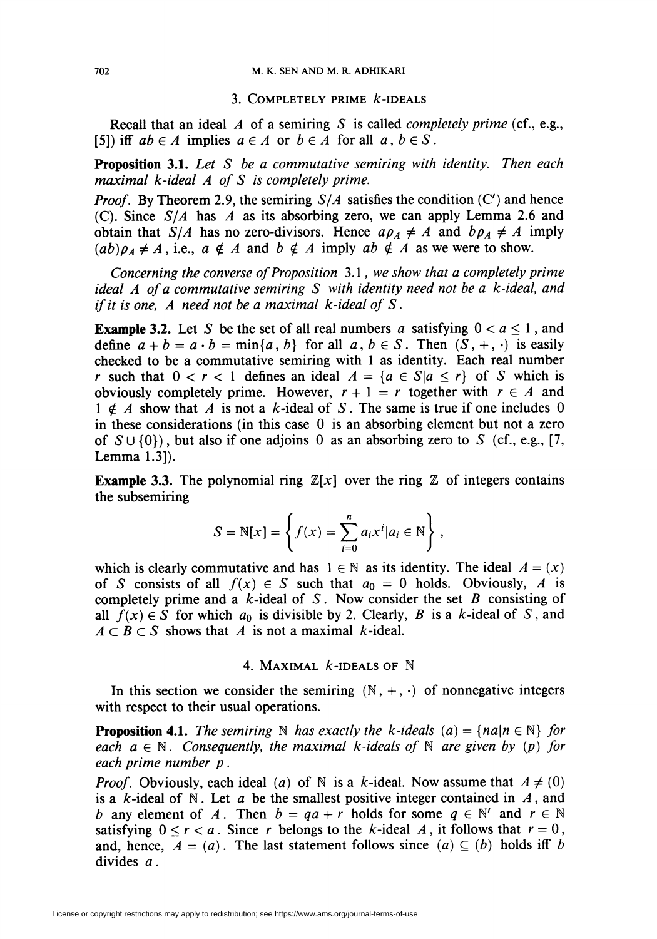## 3. COMPLETELY PRIME  $k$ -IDEALS

Recall that an ideal  $\Lambda$  of a semiring S is called *completely prime* (cf., e.g., [5]) iff  $ab \in A$  implies  $a \in A$  or  $b \in A$  for all  $a, b \in S$ .

**Proposition 3.1.** Let  $S$  be a commutative semiring with identity. Then each maximal k-ideal A of S is completely prime.

*Proof.* By Theorem 2.9, the semiring  $S/A$  satisfies the condition (C') and hence (C). Since  $S/A$  has A as its absorbing zero, we can apply Lemma 2.6 and obtain that  $S/A$  has no zero-divisors. Hence  $a\rho_A \neq A$  and  $b\rho_A \neq A$  imply  $(ab)\rho_A \neq A$ , i.e.,  $a \notin A$  and  $b \notin A$  imply  $ab \notin A$  as we were to show.

Concerning the converse of Proposition 3.1, we show that a completely prime ideal A of a commutative semiring S with identity need not be a k-ideal, and if it is one, A need not be a maximal  $k$ -ideal of S.

**Example 3.2.** Let S be the set of all real numbers a satisfying  $0 < a \le 1$ , and define  $a + b = a \cdot b = \min\{a, b\}$  for all  $a, b \in S$ . Then  $(S, +, \cdot)$  is easily checked to be a commutative semiring with 1 as identity. Each real number r such that  $0 < r < 1$  defines an ideal  $A = \{a \in S | a \le r\}$  of S which is obviously completely prime. However,  $r + 1 = r$  together with  $r \in A$  and  $1 \notin A$  show that A is not a k-ideal of S. The same is true if one includes 0 in these considerations (in this case 0 is an absorbing element but not a zero of  $S \cup \{0\}$ , but also if one adjoins 0 as an absorbing zero to S (cf., e.g., [7, Lemma 1.3]).

**Example 3.3.** The polynomial ring  $\mathbb{Z}[x]$  over the ring  $\mathbb{Z}$  of integers contains the subsemiring

$$
S = \mathbb{N}[x] = \left\{ f(x) = \sum_{i=0}^{n} a_i x^i | a_i \in \mathbb{N} \right\},\,
$$

which is clearly commutative and has  $1 \in \mathbb{N}$  as its identity. The ideal  $A = (x)$ of S consists of all  $f(x) \in S$  such that  $a_0 = 0$  holds. Obviously, A is completely prime and a  $k$ -ideal of S. Now consider the set B consisting of all  $f(x) \in S$  for which  $a_0$  is divisible by 2. Clearly, B is a k-ideal of S, and  $A \subset B \subset S$  shows that A is not a maximal k-ideal.

## 4. MAXIMAL  $k$ -IDEALS OF  $N$

In this section we consider the semiring  $(N, +, \cdot)$  of nonnegative integers with respect to their usual operations.

**Proposition 4.1.** The semiring N has exactly the k-ideals (a) =  $\{na|n \in \mathbb{N}\}\$  for each  $a \in \mathbb{N}$ . Consequently, the maximal k-ideals of  $\mathbb{N}$  are given by (p) for each prime number p.

*Proof.* Obviously, each ideal (a) of N is a k-ideal. Now assume that  $A \neq (0)$ is a  $k$ -ideal of N. Let a be the smallest positive integer contained in  $A$ , and b any element of A. Then  $b = qa + r$  holds for some  $q \in \mathbb{N}'$  and  $r \in \mathbb{N}$ satisfying  $0 \le r < a$ . Since r belongs to the k-ideal A, it follows that  $r = 0$ , and, hence,  $A = (a)$ . The last statement follows since  $(a) \subseteq (b)$  holds iff b divides a .